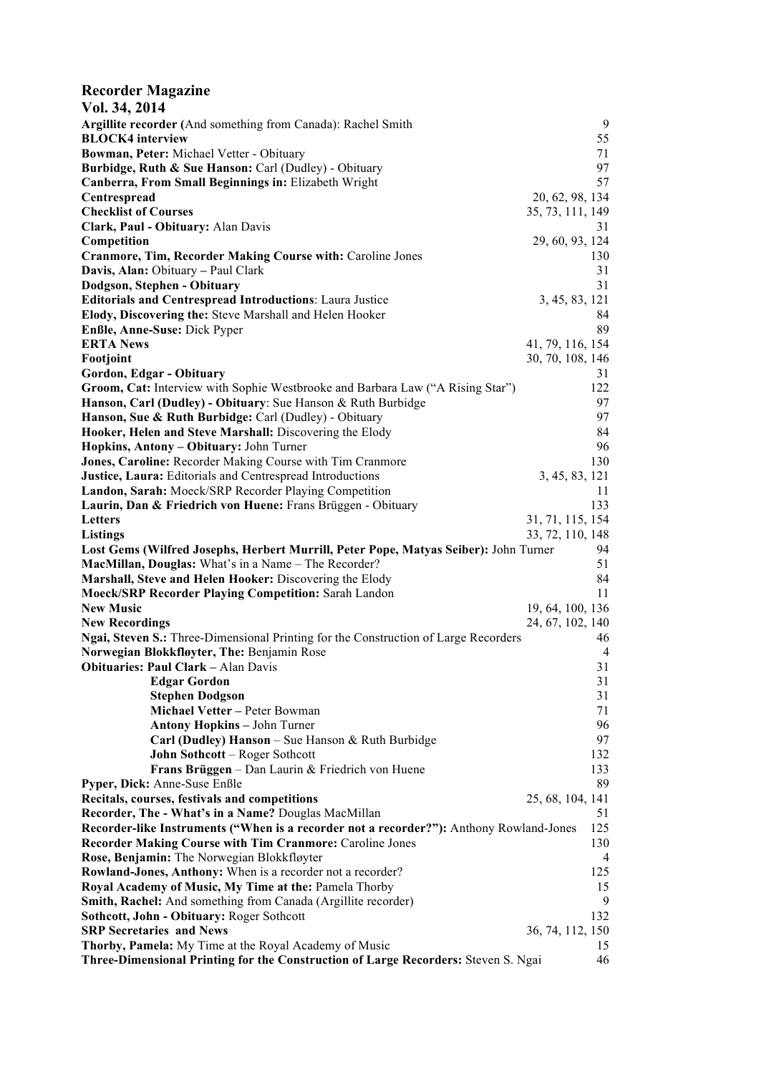| <b>Recorder Magazine</b>                                                                |                                      |
|-----------------------------------------------------------------------------------------|--------------------------------------|
| Vol. 34, 2014                                                                           |                                      |
| Argillite recorder (And something from Canada): Rachel Smith                            | 9                                    |
| <b>BLOCK4</b> interview                                                                 | 55                                   |
| Bowman, Peter: Michael Vetter - Obituary                                                | 71                                   |
| Burbidge, Ruth & Sue Hanson: Carl (Dudley) - Obituary                                   | 97                                   |
| Canberra, From Small Beginnings in: Elizabeth Wright                                    | 57                                   |
| Centrespread                                                                            | 20, 62, 98, 134                      |
| <b>Checklist of Courses</b>                                                             | 35, 73, 111, 149                     |
| Clark, Paul - Obituary: Alan Davis                                                      | 31                                   |
| Competition                                                                             | 29, 60, 93, 124                      |
| <b>Cranmore, Tim, Recorder Making Course with: Caroline Jones</b>                       | 130                                  |
| Davis, Alan: Obituary - Paul Clark                                                      | 31                                   |
| Dodgson, Stephen - Obituary                                                             | 31                                   |
| <b>Editorials and Centrespread Introductions: Laura Justice</b>                         | 3, 45, 83, 121                       |
| Elody, Discovering the: Steve Marshall and Helen Hooker                                 | 84<br>89                             |
| Enßle, Anne-Suse: Dick Pyper                                                            |                                      |
| <b>ERTA News</b><br>Footjoint                                                           | 41, 79, 116, 154<br>30, 70, 108, 146 |
| Gordon, Edgar - Obituary                                                                | 31                                   |
| Groom, Cat: Interview with Sophie Westbrooke and Barbara Law ("A Rising Star")          | 122                                  |
| Hanson, Carl (Dudley) - Obituary: Sue Hanson & Ruth Burbidge                            | 97                                   |
| Hanson, Sue & Ruth Burbidge: Carl (Dudley) - Obituary                                   | 97                                   |
| Hooker, Helen and Steve Marshall: Discovering the Elody                                 | 84                                   |
| Hopkins, Antony - Obituary: John Turner                                                 | 96                                   |
| Jones, Caroline: Recorder Making Course with Tim Cranmore                               | 130                                  |
| Justice, Laura: Editorials and Centrespread Introductions                               | 3, 45, 83, 121                       |
| Landon, Sarah: Moeck/SRP Recorder Playing Competition                                   | 11                                   |
| Laurin, Dan & Friedrich von Huene: Frans Brüggen - Obituary                             | 133                                  |
| Letters                                                                                 | 31, 71, 115, 154                     |
| <b>Listings</b>                                                                         | 33, 72, 110, 148                     |
| Lost Gems (Wilfred Josephs, Herbert Murrill, Peter Pope, Matyas Seiber): John Turner    | 94                                   |
| MacMillan, Douglas: What's in a Name - The Recorder?                                    | 51                                   |
| Marshall, Steve and Helen Hooker: Discovering the Elody                                 | 84                                   |
| <b>Moeck/SRP Recorder Playing Competition: Sarah Landon</b>                             | 11                                   |
| <b>New Music</b>                                                                        | 19, 64, 100, 136                     |
| <b>New Recordings</b>                                                                   | 24, 67, 102, 140                     |
| Ngai, Steven S.: Three-Dimensional Printing for the Construction of Large Recorders     | 46                                   |
| Norwegian Blokkfløvter, The: Benjamin Rose                                              | 4                                    |
| <b>Obituaries: Paul Clark - Alan Davis</b>                                              | 31                                   |
| <b>Edgar Gordon</b>                                                                     | 31<br>31                             |
| <b>Stephen Dodgson</b><br>Michael Vetter - Peter Bowman                                 | 71                                   |
| <b>Antony Hopkins - John Turner</b>                                                     | 96                                   |
| Carl (Dudley) Hanson - Sue Hanson & Ruth Burbidge                                       | 97                                   |
| John Sothcott - Roger Sothcott                                                          | 132                                  |
| Frans Brüggen - Dan Laurin & Friedrich von Huene                                        | 133                                  |
| Pyper, Dick: Anne-Suse Enßle                                                            | 89                                   |
| Recitals, courses, festivals and competitions                                           | 25, 68, 104, 141                     |
| Recorder, The - What's in a Name? Douglas MacMillan                                     | 51                                   |
| Recorder-like Instruments ("When is a recorder not a recorder?"): Anthony Rowland-Jones | 125                                  |
| <b>Recorder Making Course with Tim Cranmore: Caroline Jones</b>                         | 130                                  |
| Rose, Benjamin: The Norwegian Blokkfløyter                                              | 4                                    |
| Rowland-Jones, Anthony: When is a recorder not a recorder?                              | 125                                  |
| Royal Academy of Music, My Time at the: Pamela Thorby                                   | 15                                   |
| Smith, Rachel: And something from Canada (Argillite recorder)                           | 9                                    |
| Sothcott, John - Obituary: Roger Sothcott                                               | 132                                  |
| <b>SRP Secretaries and News</b>                                                         | 36, 74, 112, 150                     |
| Thorby, Pamela: My Time at the Royal Academy of Music                                   | 15                                   |
| Three-Dimensional Printing for the Construction of Large Recorders: Steven S. Ngai      | 46                                   |